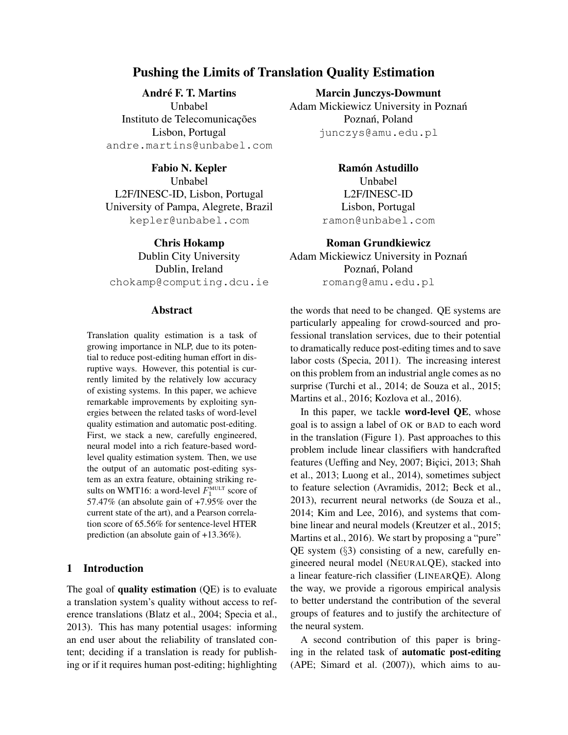# Pushing the Limits of Translation Quality Estimation

André F. T. Martins

Unbabel Instituto de Telecomunicações Lisbon, Portugal andre.martins@unbabel.com

Fabio N. Kepler Unbabel L2F/INESC-ID, Lisbon, Portugal University of Pampa, Alegrete, Brazil kepler@unbabel.com

Chris Hokamp Dublin City University Dublin, Ireland chokamp@computing.dcu.ie

#### Abstract

Translation quality estimation is a task of growing importance in NLP, due to its potential to reduce post-editing human effort in disruptive ways. However, this potential is currently limited by the relatively low accuracy of existing systems. In this paper, we achieve remarkable improvements by exploiting synergies between the related tasks of word-level quality estimation and automatic post-editing. First, we stack a new, carefully engineered, neural model into a rich feature-based wordlevel quality estimation system. Then, we use the output of an automatic post-editing system as an extra feature, obtaining striking results on WMT16: a word-level  $F_1^{\text{MULT}}$  score of 57.47% (an absolute gain of +7.95% over the current state of the art), and a Pearson correlation score of 65.56% for sentence-level HTER prediction (an absolute gain of +13.36%).

# 1 Introduction

The goal of **quality estimation**  $(QE)$  is to evaluate a translation system's quality without access to reference translations [\(Blatz et al., 2004;](#page-11-0) [Specia et al.,](#page-12-0) [2013\)](#page-12-0). This has many potential usages: informing an end user about the reliability of translated content; deciding if a translation is ready for publishing or if it requires human post-editing; highlighting Marcin Junczys-Dowmunt

Adam Mickiewicz University in Poznan´ Poznań, Poland junczys@amu.edu.pl

> Ramón Astudillo **Unbabel** L2F/INESC-ID Lisbon, Portugal ramon@unbabel.com

Roman Grundkiewicz

Adam Mickiewicz University in Poznan´ Poznań, Poland romang@amu.edu.pl

the words that need to be changed. QE systems are particularly appealing for crowd-sourced and professional translation services, due to their potential to dramatically reduce post-editing times and to save labor costs [\(Specia, 2011\)](#page-12-1). The increasing interest on this problem from an industrial angle comes as no surprise [\(Turchi et al., 2014;](#page-12-2) [de Souza et al., 2015;](#page-11-1) [Martins et al., 2016;](#page-12-3) [Kozlova et al., 2016\)](#page-12-4).

In this paper, we tackle word-level QE, whose goal is to assign a label of OK or BAD to each word in the translation (Figure [1\)](#page-1-0). Past approaches to this problem include linear classifiers with handcrafted features [\(Ueffing and Ney, 2007;](#page-13-0) Bicici, 2013; [Shah](#page-12-5) [et al., 2013;](#page-12-5) [Luong et al., 2014\)](#page-12-6), sometimes subject to feature selection [\(Avramidis, 2012;](#page-11-3) [Beck et al.,](#page-11-4) [2013\)](#page-11-4), recurrent neural networks [\(de Souza et al.,](#page-11-5) [2014;](#page-11-5) [Kim and Lee, 2016\)](#page-12-7), and systems that combine linear and neural models [\(Kreutzer et al., 2015;](#page-12-8) [Martins et al., 2016\)](#page-12-3). We start by proposing a "pure" QE system (§[3\)](#page-2-0) consisting of a new, carefully engineered neural model (NEURALQE), stacked into a linear feature-rich classifier (LINEARQE). Along the way, we provide a rigorous empirical analysis to better understand the contribution of the several groups of features and to justify the architecture of the neural system.

A second contribution of this paper is bringing in the related task of automatic post-editing (APE; [Simard et al. \(2007\)](#page-12-9)), which aims to au-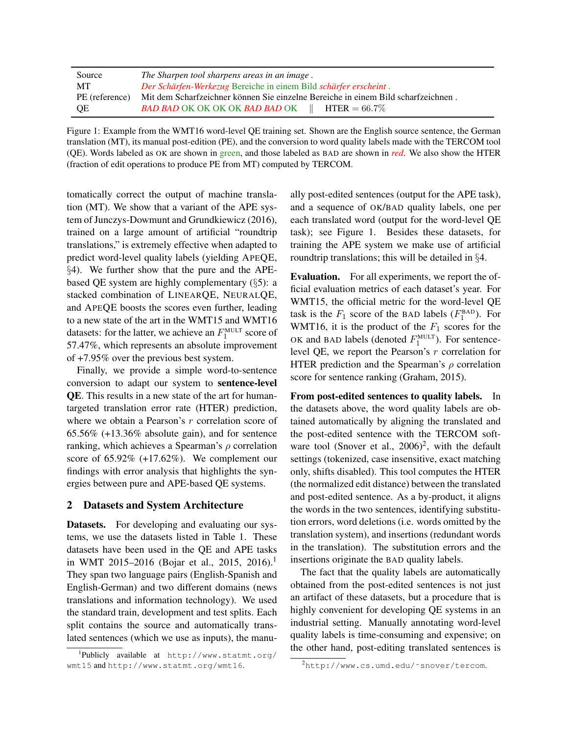| Source         | The Sharpen tool sharpens areas in an image.                                      |
|----------------|-----------------------------------------------------------------------------------|
| MT             | Der Schärfen-Werkezug Bereiche in einem Bild schärfer erscheint.                  |
| PE (reference) | Mit dem Scharfzeichner können Sie einzelne Bereiche in einem Bild scharfzeichnen. |
| <b>OE</b>      | <b>BAD BAD</b> OK OK OK OK <b>BAD BAD</b> OK $\parallel$ <b>HTER</b> = 66.7%      |

Figure 1: Example from the WMT16 word-level QE training set. Shown are the English source sentence, the German translation (MT), its manual post-edition (PE), and the conversion to word quality labels made with the TERCOM tool (QE). Words labeled as OK are shown in green, and those labeled as BAD are shown in *red*. We also show the HTER (fraction of edit operations to produce PE from MT) computed by TERCOM.

tomatically correct the output of machine translation (MT). We show that a variant of the APE system of [Junczys-Dowmunt and Grundkiewicz \(2016\)](#page-12-10), trained on a large amount of artificial "roundtrip translations," is extremely effective when adapted to predict word-level quality labels (yielding APEQE, §[4\)](#page-6-0). We further show that the pure and the APEbased QE system are highly complementary (§[5\)](#page-8-0): a stacked combination of LINEARQE, NEURALQE, and APEQE boosts the scores even further, leading to a new state of the art in the WMT15 and WMT16 datasets: for the latter, we achieve an  $F_1^{\text{MULT}}$  score of 57.47%, which represents an absolute improvement of +7.95% over the previous best system.

Finally, we provide a simple word-to-sentence conversion to adapt our system to sentence-level QE. This results in a new state of the art for humantargeted translation error rate (HTER) prediction, where we obtain a Pearson's r correlation score of 65.56% (+13.36% absolute gain), and for sentence ranking, which achieves a Spearman's  $\rho$  correlation score of 65.92% (+17.62%). We complement our findings with error analysis that highlights the synergies between pure and APE-based QE systems.

### <span id="page-1-3"></span>2 Datasets and System Architecture

Datasets. For developing and evaluating our systems, we use the datasets listed in Table [1.](#page-2-1) These datasets have been used in the QE and APE tasks in WMT 20[1](#page-1-1)5–2016 (Bojar et al., 2015, 2016).<sup>1</sup> They span two language pairs (English-Spanish and English-German) and two different domains (news translations and information technology). We used the standard train, development and test splits. Each split contains the source and automatically translated sentences (which we use as inputs), the manu<span id="page-1-0"></span>ally post-edited sentences (output for the APE task), and a sequence of OK/BAD quality labels, one per each translated word (output for the word-level QE task); see Figure [1.](#page-1-0) Besides these datasets, for training the APE system we make use of artificial roundtrip translations; this will be detailed in §[4.](#page-6-0)

Evaluation. For all experiments, we report the official evaluation metrics of each dataset's year. For WMT15, the official metric for the word-level QE task is the  $F_1$  score of the BAD labels ( $F_1^{\text{BAD}}$ ). For WMT16, it is the product of the  $F_1$  scores for the OK and BAD labels (denoted  $F_1^{\text{MULT}}$ ). For sentencelevel QE, we report the Pearson's r correlation for HTER prediction and the Spearman's  $\rho$  correlation score for sentence ranking [\(Graham, 2015\)](#page-11-6).

From post-edited sentences to quality labels. In the datasets above, the word quality labels are obtained automatically by aligning the translated and the post-edited sentence with the TERCOM software tool (Snover et al.,  $2006)^2$  $2006)^2$ , with the default settings (tokenized, case insensitive, exact matching only, shifts disabled). This tool computes the HTER (the normalized edit distance) between the translated and post-edited sentence. As a by-product, it aligns the words in the two sentences, identifying substitution errors, word deletions (i.e. words omitted by the translation system), and insertions (redundant words in the translation). The substitution errors and the insertions originate the BAD quality labels.

The fact that the quality labels are automatically obtained from the post-edited sentences is not just an artifact of these datasets, but a procedure that is highly convenient for developing QE systems in an industrial setting. Manually annotating word-level quality labels is time-consuming and expensive; on the other hand, post-editing translated sentences is

<span id="page-1-1"></span><sup>1</sup> Publicly available at [http://www.statmt.org/](http://www.statmt.org/wmt15) [wmt15](http://www.statmt.org/wmt15) and <http://www.statmt.org/wmt16>.

<span id="page-1-2"></span><sup>2</sup>[http://www.cs.umd.edu/˜snover/tercom](http://www.cs.umd.edu/~snover/tercom).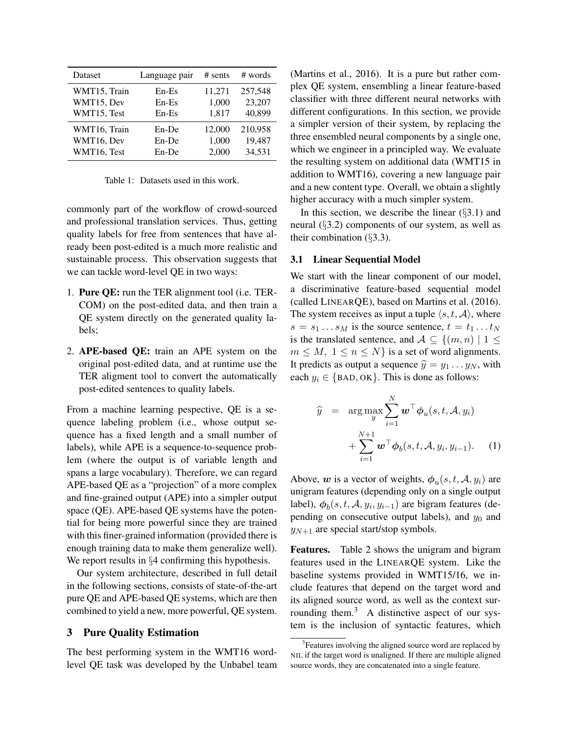| Dataset      | Language pair | $#$ sents | # words |
|--------------|---------------|-----------|---------|
| WMT15, Train | $En-Es$       | 11,271    | 257,548 |
| WMT15, Dev   | $En-Es$       | 1,000     | 23,207  |
| WMT15, Test  | $En-Es$       | 1,817     | 40,899  |
| WMT16, Train | En-De         | 12,000    | 210,958 |
| WMT16, Dev   | En-De         | 1,000     | 19,487  |
| WMT16, Test  | En-De         | 2,000     | 34,531  |

<span id="page-2-1"></span>Table 1: Datasets used in this work.

commonly part of the workflow of crowd-sourced and professional translation services. Thus, getting quality labels for free from sentences that have already been post-edited is a much more realistic and sustainable process. This observation suggests that we can tackle word-level QE in two ways:

- 1. Pure QE: run the TER alignment tool (i.e. TER-COM) on the post-edited data, and then train a QE system directly on the generated quality labels;
- 2. APE-based QE: train an APE system on the original post-edited data, and at runtime use the TER aligment tool to convert the automatically post-edited sentences to quality labels.

From a machine learning pespective, QE is a sequence labeling problem (i.e., whose output sequence has a fixed length and a small number of labels), while APE is a sequence-to-sequence problem (where the output is of variable length and spans a large vocabulary). Therefore, we can regard APE-based QE as a "projection" of a more complex and fine-grained output (APE) into a simpler output space (QE). APE-based QE systems have the potential for being more powerful since they are trained with this finer-grained information (provided there is enough training data to make them generalize well). We report results in §[4](#page-6-0) confirming this hypothesis.

Our system architecture, described in full detail in the following sections, consists of state-of-the-art pure QE and APE-based QE systems, which are then combined to yield a new, more powerful, QE system.

# <span id="page-2-0"></span>3 Pure Quality Estimation

The best performing system in the WMT16 wordlevel QE task was developed by the Unbabel team [\(Martins et al., 2016\)](#page-12-3). It is a pure but rather complex QE system, ensembling a linear feature-based classifier with three different neural networks with different configurations. In this section, we provide a simpler version of their system, by replacing the three ensembled neural components by a single one, which we engineer in a principled way. We evaluate the resulting system on additional data (WMT15 in addition to WMT16), covering a new language pair and a new content type. Overall, we obtain a slightly higher accuracy with a much simpler system.

In this section, we describe the linear  $(\S 3.1)$  $(\S 3.1)$  and neural (§[3.2\)](#page-3-0) components of our system, as well as their combination (§[3.3\)](#page-5-0).

#### <span id="page-2-2"></span>3.1 Linear Sequential Model

We start with the linear component of our model, a discriminative feature-based sequential model (called LINEARQE), based on [Martins et al. \(2016\)](#page-12-3). The system receives as input a tuple  $\langle s, t, \mathcal{A} \rangle$ , where  $s = s_1 \dots s_M$  is the source sentence,  $t = t_1 \dots t_N$ is the translated sentence, and  $A \subseteq \{(m,n) | 1 \leq$  $m \leq M$ ,  $1 \leq n \leq N$  is a set of word alignments. It predicts as output a sequence  $\hat{y} = y_1 \dots y_N$ , with each  $y_i \in \{$  BAD, OK $\}$ . This is done as follows:

$$
\widehat{y} = \arg \max_{y} \sum_{i=1}^{N} \boldsymbol{w}^{\top} \boldsymbol{\phi}_{u}(s, t, \mathcal{A}, y_{i})
$$

$$
+ \sum_{i=1}^{N+1} \boldsymbol{w}^{\top} \boldsymbol{\phi}_{b}(s, t, \mathcal{A}, y_{i}, y_{i-1}). \quad (1)
$$

Above, w is a vector of weights,  $\phi_u(s, t, \mathcal{A}, y_i)$  are unigram features (depending only on a single output label),  $\phi_b(s, t, \mathcal{A}, y_i, y_{i-1})$  are bigram features (depending on consecutive output labels), and  $y_0$  and  $y_{N+1}$  are special start/stop symbols.

Features. Table [2](#page-3-1) shows the unigram and bigram features used in the LINEARQE system. Like the baseline systems provided in WMT15/16, we include features that depend on the target word and its aligned source word, as well as the context sur-rounding them.<sup>[3](#page-2-3)</sup> A distinctive aspect of our system is the inclusion of syntactic features, which

<span id="page-2-3"></span><sup>&</sup>lt;sup>3</sup> Features involving the aligned source word are replaced by NIL if the target word is unaligned. If there are multiple aligned source words, they are concatenated into a single feature.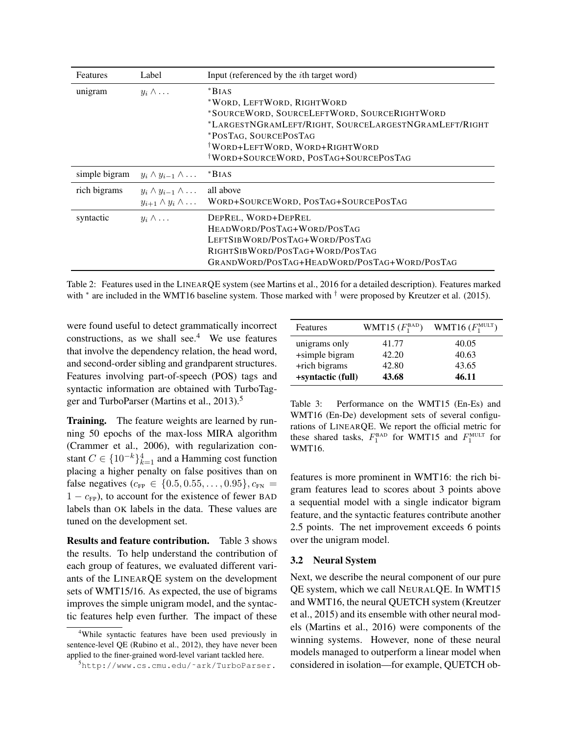| Features      | Label                                                                    | Input (referenced by the <i>i</i> th target word)                                                                                                                                                                                                             |
|---------------|--------------------------------------------------------------------------|---------------------------------------------------------------------------------------------------------------------------------------------------------------------------------------------------------------------------------------------------------------|
| unigram       | $y_i \wedge \ldots$                                                      | $*BIAS$<br>*WORD, LEFTWORD, RIGHTWORD<br>*SOURCEWORD, SOURCELEFTWORD, SOURCERIGHTWORD<br>*LARGESTNGRAMLEFT/RIGHT, SOURCELARGESTNGRAMLEFT/RIGHT<br>*POSTAG, SOURCEPOSTAG<br><sup>†</sup> WORD+LEFTWORD, WORD+RIGHTWORD<br>WORD+SOURCEWORD, POSTAG+SOURCEPOSTAG |
| simple bigram | $y_i \wedge y_{i-1} \wedge \ldots$                                       | BIAS                                                                                                                                                                                                                                                          |
| rich bigrams  | $y_i \wedge y_{i-1} \wedge \ldots$<br>$y_{i+1} \wedge y_i \wedge \ldots$ | all above<br>WORD+SOURCEWORD, POSTAG+SOURCEPOSTAG                                                                                                                                                                                                             |
| syntactic     | $y_i \wedge \ldots$                                                      | DEPREL, WORD+DEPREL<br>HEADWORD/POSTAG+WORD/POSTAG<br>LEFTSIBWORD/POSTAG+WORD/POSTAG<br>RIGHTSIBWORD/POSTAG+WORD/POSTAG<br>GRANDWORD/POSTAG+HEADWORD/POSTAG+WORD/POSTAG                                                                                       |

Table 2: Features used in the LINEARQE system (see Martins et al., 2016 for a detailed description). Features marked with <sup>\*</sup> are included in the WMT16 baseline system. Those marked with <sup>†</sup> were proposed by Kreutzer et al. (2015).

were found useful to detect grammatically incorrect constructions, as we shall see. $4$  We use features that involve the dependency relation, the head word, and second-order sibling and grandparent structures. Features involving part-of-speech (POS) tags and syntactic information are obtained with TurboTag-ger and TurboParser [\(Martins et al., 2013\)](#page-12-12).<sup>[5](#page-3-3)</sup>

**Training.** The feature weights are learned by running 50 epochs of the max-loss MIRA algorithm [\(Crammer et al., 2006\)](#page-11-7), with regularization constant  $C \in \{10^{-k}\}_{k=1}^4$  and a Hamming cost function placing a higher penalty on false positives than on false negatives ( $c_{\text{FP}} \in \{0.5, 0.55, \ldots, 0.95\}, c_{\text{FN}} =$  $1 - c_{FP}$ ), to account for the existence of fewer BAD labels than OK labels in the data. These values are tuned on the development set.

Results and feature contribution. Table [3](#page-3-4) shows the results. To help understand the contribution of each group of features, we evaluated different variants of the LINEARQE system on the development sets of WMT15/16. As expected, the use of bigrams improves the simple unigram model, and the syntactic features help even further. The impact of these

<span id="page-3-1"></span>

| Features          | WMT15 $(F_1^{\text{BAD}})$ | WMT16 $(F_1^{\text{MULT}})$ |
|-------------------|----------------------------|-----------------------------|
| unigrams only     | 41.77                      | 40.05                       |
| +simple bigram    | 42.20                      | 40.63                       |
| +rich bigrams     | 42.80                      | 43.65                       |
| +syntactic (full) | 43.68                      | 46.11                       |

<span id="page-3-4"></span>Table 3: Performance on the WMT15 (En-Es) and WMT16 (En-De) development sets of several configurations of LINEARQE. We report the official metric for these shared tasks,  $F_1^{\text{BAD}}$  for WMT15 and  $F_1^{\text{MULT}}$  for WMT16.

features is more prominent in WMT16: the rich bigram features lead to scores about 3 points above a sequential model with a single indicator bigram feature, and the syntactic features contribute another 2.5 points. The net improvement exceeds 6 points over the unigram model.

#### <span id="page-3-0"></span>3.2 Neural System

Next, we describe the neural component of our pure QE system, which we call NEURALQE. In WMT15 and WMT16, the neural QUETCH system [\(Kreutzer](#page-12-8) [et al., 2015\)](#page-12-8) and its ensemble with other neural models [\(Martins et al., 2016\)](#page-12-3) were components of the winning systems. However, none of these neural models managed to outperform a linear model when considered in isolation—for example, QUETCH ob-

<span id="page-3-2"></span><sup>4</sup>While syntactic features have been used previously in sentence-level QE [\(Rubino et al., 2012\)](#page-12-13), they have never been applied to the finer-grained word-level variant tackled here.

<span id="page-3-3"></span><sup>5</sup>[http://www.cs.cmu.edu/˜ark/TurboParser.](http://www.cs.cmu.edu/~ark/TurboParser.)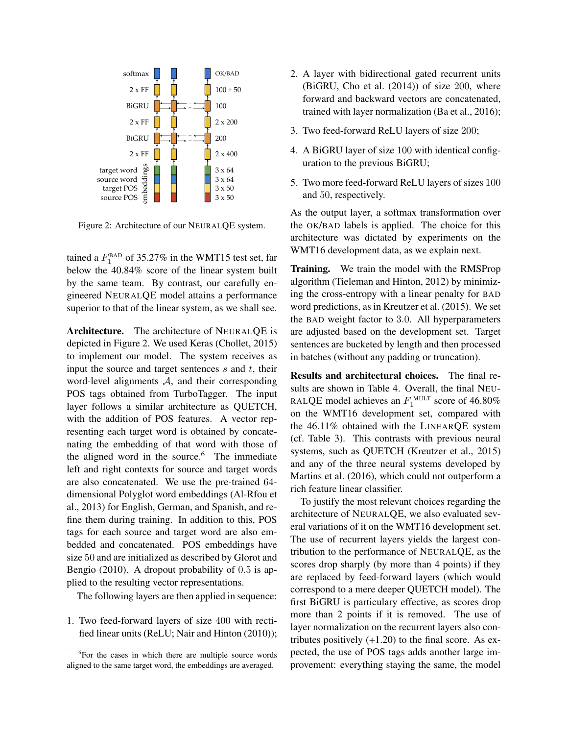

Figure 2: Architecture of our NEURALQE system.

tained a  $F_1^{\text{BAD}}$  of 35.27% in the WMT15 test set, far below the 40.84% score of the linear system built by the same team. By contrast, our carefully engineered NEURALQE model attains a performance superior to that of the linear system, as we shall see.

Architecture. The architecture of NEURALQE is depicted in Figure [2.](#page-4-0) We used Keras [\(Chollet, 2015\)](#page-11-8) to implement our model. The system receives as input the source and target sentences  $s$  and  $t$ , their word-level alignments A, and their corresponding POS tags obtained from TurboTagger. The input layer follows a similar architecture as QUETCH, with the addition of POS features. A vector representing each target word is obtained by concatenating the embedding of that word with those of the aligned word in the source. $6$  The immediate left and right contexts for source and target words are also concatenated. We use the pre-trained 64 dimensional Polyglot word embeddings [\(Al-Rfou et](#page-11-9) [al., 2013\)](#page-11-9) for English, German, and Spanish, and refine them during training. In addition to this, POS tags for each source and target word are also embedded and concatenated. POS embeddings have size 50 and are initialized as described by [Glorot and](#page-11-10) [Bengio \(2010\)](#page-11-10). A dropout probability of 0.5 is applied to the resulting vector representations.

The following layers are then applied in sequence:

1. Two feed-forward layers of size 400 with rectified linear units (ReLU; [Nair and Hinton \(2010\)](#page-12-14));

- 2. A layer with bidirectional gated recurrent units (BiGRU, [Cho et al. \(2014\)](#page-11-11)) of size 200, where forward and backward vectors are concatenated, trained with layer normalization [\(Ba et al., 2016\)](#page-11-12);
- 3. Two feed-forward ReLU layers of size 200;
- 4. A BiGRU layer of size 100 with identical configuration to the previous BiGRU;
- 5. Two more feed-forward ReLU layers of sizes 100 and 50, respectively.

<span id="page-4-0"></span>As the output layer, a softmax transformation over the OK/BAD labels is applied. The choice for this architecture was dictated by experiments on the WMT16 development data, as we explain next.

Training. We train the model with the RMSProp algorithm [\(Tieleman and Hinton, 2012\)](#page-12-15) by minimizing the cross-entropy with a linear penalty for BAD word predictions, as in [Kreutzer et al. \(2015\)](#page-12-8). We set the BAD weight factor to 3.0. All hyperparameters are adjusted based on the development set. Target sentences are bucketed by length and then processed in batches (without any padding or truncation).

Results and architectural choices. The final results are shown in Table [4.](#page-5-1) Overall, the final NEU-RALQE model achieves an  $F_1^{\text{MULT}}$  score of 46.80% on the WMT16 development set, compared with the 46.11% obtained with the LINEARQE system (cf. Table [3\)](#page-3-4). This contrasts with previous neural systems, such as QUETCH [\(Kreutzer et al., 2015\)](#page-12-8) and any of the three neural systems developed by [Martins et al. \(2016\)](#page-12-3), which could not outperform a rich feature linear classifier.

To justify the most relevant choices regarding the architecture of NEURALQE, we also evaluated several variations of it on the WMT16 development set. The use of recurrent layers yields the largest contribution to the performance of NEURALQE, as the scores drop sharply (by more than 4 points) if they are replaced by feed-forward layers (which would correspond to a mere deeper QUETCH model). The first BiGRU is particulary effective, as scores drop more than 2 points if it is removed. The use of layer normalization on the recurrent layers also contributes positively  $(+1.20)$  to the final score. As expected, the use of POS tags adds another large improvement: everything staying the same, the model

<span id="page-4-1"></span><sup>&</sup>lt;sup>6</sup>For the cases in which there are multiple source words aligned to the same target word, the embeddings are averaged.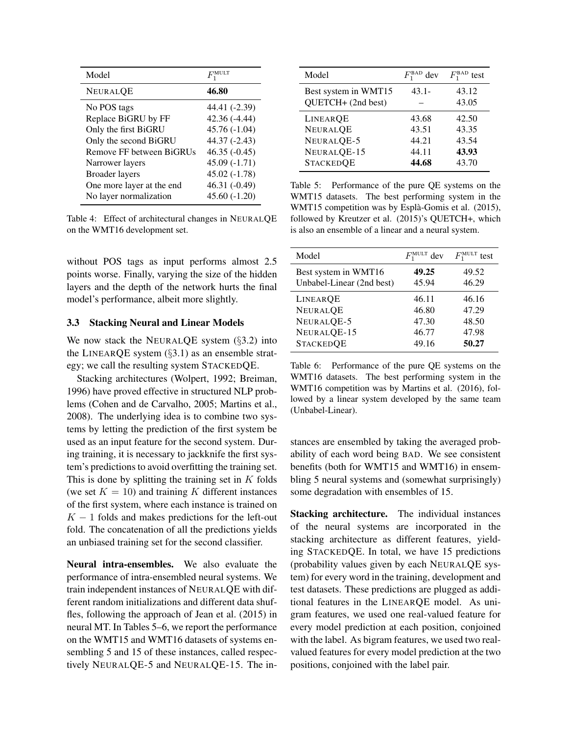| Model                     |                |
|---------------------------|----------------|
| <b>NEURALOE</b>           | 46.80          |
| No POS tags               | 44.41 (-2.39)  |
| Replace BiGRU by FF       | $42.36(-4.44)$ |
| Only the first BiGRU      | $45.76(-1.04)$ |
| Only the second BiGRU     | 44.37 (-2.43)  |
| Remove FF between BiGRUs  | $46.35(-0.45)$ |
| Narrower layers           | $45.09(-1.71)$ |
| <b>Broader</b> layers     | $45.02(-1.78)$ |
| One more layer at the end | 46.31 (-0.49)  |
| No layer normalization    | $45.60(-1.20)$ |

Table 4: Effect of architectural changes in NEURALQE on the WMT16 development set.

without POS tags as input performs almost 2.5 points worse. Finally, varying the size of the hidden layers and the depth of the network hurts the final model's performance, albeit more slightly.

### <span id="page-5-0"></span>3.3 Stacking Neural and Linear Models

We now stack the NEURALQE system  $(\S3.2)$  $(\S3.2)$  into the LINEARQE system (§[3.1\)](#page-2-2) as an ensemble strategy; we call the resulting system STACKEDQE.

Stacking architectures [\(Wolpert, 1992;](#page-13-1) [Breiman,](#page-11-13) [1996\)](#page-11-13) have proved effective in structured NLP problems [\(Cohen and de Carvalho, 2005;](#page-11-14) [Martins et al.,](#page-12-16) [2008\)](#page-12-16). The underlying idea is to combine two systems by letting the prediction of the first system be used as an input feature for the second system. During training, it is necessary to jackknife the first system's predictions to avoid overfitting the training set. This is done by splitting the training set in  $K$  folds (we set  $K = 10$ ) and training K different instances of the first system, where each instance is trained on  $K - 1$  folds and makes predictions for the left-out fold. The concatenation of all the predictions yields an unbiased training set for the second classifier.

Neural intra-ensembles. We also evaluate the performance of intra-ensembled neural systems. We train independent instances of NEURALQE with different random initializations and different data shuffles, following the approach of [Jean et al. \(2015\)](#page-12-17) in neural MT. In Tables [5–](#page-5-2)[6,](#page-5-3) we report the performance on the WMT15 and WMT16 datasets of systems ensembling 5 and 15 of these instances, called respectively NEURALQE-5 and NEURALQE-15. The in-

<span id="page-5-2"></span>

| Model                                                                        | $F_1^{\text{BAD}}$ dev                    | $F_1^{\text{BAD}}$<br>test                |
|------------------------------------------------------------------------------|-------------------------------------------|-------------------------------------------|
| Best system in WMT15<br>QUETCH+ (2nd best)                                   | $43.1 -$                                  | 43.12<br>43.05                            |
| LINEAROE<br><b>NEURALQE</b><br>NEURALQE-5<br>NEURALQE-15<br><b>STACKEDQE</b> | 43.68<br>43.51<br>44.21<br>44.11<br>44.68 | 42.50<br>43.35<br>43.54<br>43.93<br>43.70 |

<span id="page-5-1"></span>Table 5: Performance of the pure QE systems on the WMT15 datasets. The best performing system in the WMT15 competition was by Espla-Gomis et al. (2015), ` followed by Kreutzer et al. (2015)'s QUETCH+, which is also an ensemble of a linear and a neural system.

<span id="page-5-3"></span>

| Model                     | $F_1^{\text{MULT}}$ dev | $F_1^{\text{MULT}}$<br>test |
|---------------------------|-------------------------|-----------------------------|
| Best system in WMT16      | 49.25                   | 49.52                       |
| Unbabel-Linear (2nd best) | 45.94                   | 46.29                       |
| <b>LINEARQE</b>           | 46.11                   | 46.16                       |
| <b>NEURALQE</b>           | 46.80                   | 47.29                       |
| NEURALQE-5                | 47.30                   | 48.50                       |
| NEURALQE-15               | 46.77                   | 47.98                       |
| <b>STACKEDQE</b>          | 49.16                   | 50.27                       |

Table 6: Performance of the pure QE systems on the WMT16 datasets. The best performing system in the WMT16 competition was by Martins et al. (2016), followed by a linear system developed by the same team (Unbabel-Linear).

stances are ensembled by taking the averaged probability of each word being BAD. We see consistent benefits (both for WMT15 and WMT16) in ensembling 5 neural systems and (somewhat surprisingly) some degradation with ensembles of 15.

Stacking architecture. The individual instances of the neural systems are incorporated in the stacking architecture as different features, yielding STACKEDQE. In total, we have 15 predictions (probability values given by each NEURALQE system) for every word in the training, development and test datasets. These predictions are plugged as additional features in the LINEARQE model. As unigram features, we used one real-valued feature for every model prediction at each position, conjoined with the label. As bigram features, we used two realvalued features for every model prediction at the two positions, conjoined with the label pair.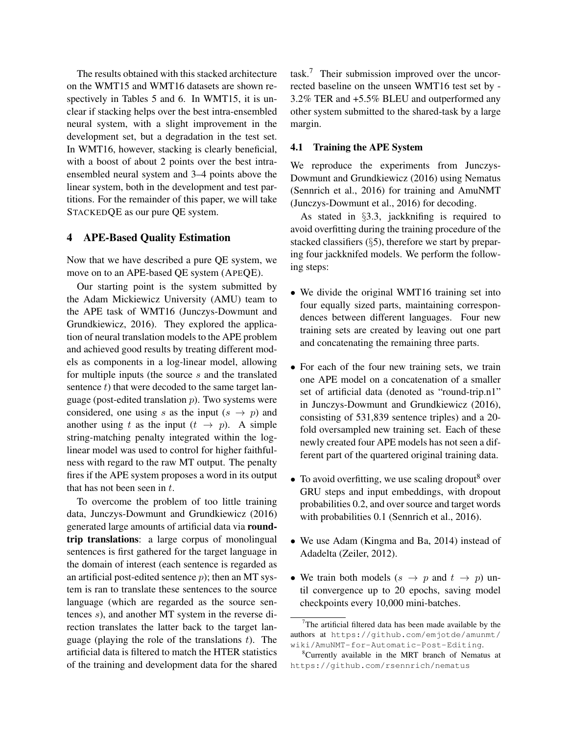The results obtained with this stacked architecture on the WMT15 and WMT16 datasets are shown respectively in Tables [5](#page-5-2) and [6.](#page-5-3) In WMT15, it is unclear if stacking helps over the best intra-ensembled neural system, with a slight improvement in the development set, but a degradation in the test set. In WMT16, however, stacking is clearly beneficial, with a boost of about 2 points over the best intraensembled neural system and 3–4 points above the linear system, both in the development and test partitions. For the remainder of this paper, we will take STACKEDQE as our pure QE system.

### <span id="page-6-0"></span>4 APE-Based Quality Estimation

Now that we have described a pure QE system, we move on to an APE-based QE system (APEQE).

Our starting point is the system submitted by the Adam Mickiewicz University (AMU) team to the APE task of WMT16 [\(Junczys-Dowmunt and](#page-12-10) [Grundkiewicz, 2016\)](#page-12-10). They explored the application of neural translation models to the APE problem and achieved good results by treating different models as components in a log-linear model, allowing for multiple inputs (the source s and the translated sentence  $t$ ) that were decoded to the same target language (post-edited translation  $p$ ). Two systems were considered, one using s as the input  $(s \rightarrow p)$  and another using t as the input  $(t \rightarrow p)$ . A simple string-matching penalty integrated within the loglinear model was used to control for higher faithfulness with regard to the raw MT output. The penalty fires if the APE system proposes a word in its output that has not been seen in  $t$ .

To overcome the problem of too little training data, [Junczys-Dowmunt and Grundkiewicz \(2016\)](#page-12-10) generated large amounts of artificial data via roundtrip translations: a large corpus of monolingual sentences is first gathered for the target language in the domain of interest (each sentence is regarded as an artificial post-edited sentence  $p$ ); then an MT system is ran to translate these sentences to the source language (which are regarded as the source sentences s), and another MT system in the reverse direction translates the latter back to the target language (playing the role of the translations  $t$ ). The artificial data is filtered to match the HTER statistics of the training and development data for the shared

task.[7](#page-6-1) Their submission improved over the uncorrected baseline on the unseen WMT16 test set by - 3.2% TER and +5.5% BLEU and outperformed any other system submitted to the shared-task by a large margin.

# 4.1 Training the APE System

We reproduce the experiments from [Junczys-](#page-12-10)[Dowmunt and Grundkiewicz \(2016\)](#page-12-10) using Nematus [\(Sennrich et al., 2016\)](#page-12-18) for training and AmuNMT [\(Junczys-Dowmunt et al., 2016\)](#page-12-19) for decoding.

As stated in §[3.3,](#page-5-0) jackknifing is required to avoid overfitting during the training procedure of the stacked classifiers (§[5\)](#page-8-0), therefore we start by preparing four jackknifed models. We perform the following steps:

- We divide the original WMT16 training set into four equally sized parts, maintaining correspondences between different languages. Four new training sets are created by leaving out one part and concatenating the remaining three parts.
- For each of the four new training sets, we train one APE model on a concatenation of a smaller set of artificial data (denoted as "round-trip.n1" in [Junczys-Dowmunt and Grundkiewicz \(2016\)](#page-12-10), consisting of 531,839 sentence triples) and a 20 fold oversampled new training set. Each of these newly created four APE models has not seen a different part of the quartered original training data.
- To avoid overfitting, we use scaling dropout  $\delta$  over GRU steps and input embeddings, with dropout probabilities 0.2, and over source and target words with probabilities 0.1 [\(Sennrich et al., 2016\)](#page-12-18).
- We use Adam [\(Kingma and Ba, 2014\)](#page-12-20) instead of Adadelta [\(Zeiler, 2012\)](#page-13-2).
- We train both models  $(s \rightarrow p \text{ and } t \rightarrow p)$  until convergence up to 20 epochs, saving model checkpoints every 10,000 mini-batches.

<span id="page-6-1"></span> $7$ The artificial filtered data has been made available by the authors at [https://github.com/emjotde/amunmt/](https://github.com/emjotde/amunmt/wiki/AmuNMT-for-Automatic-Post-Editing) [wiki/AmuNMT-for-Automatic-Post-Editing](https://github.com/emjotde/amunmt/wiki/AmuNMT-for-Automatic-Post-Editing).

<span id="page-6-2"></span><sup>8</sup>Currently available in the MRT branch of Nematus at <https://github.com/rsennrich/nematus>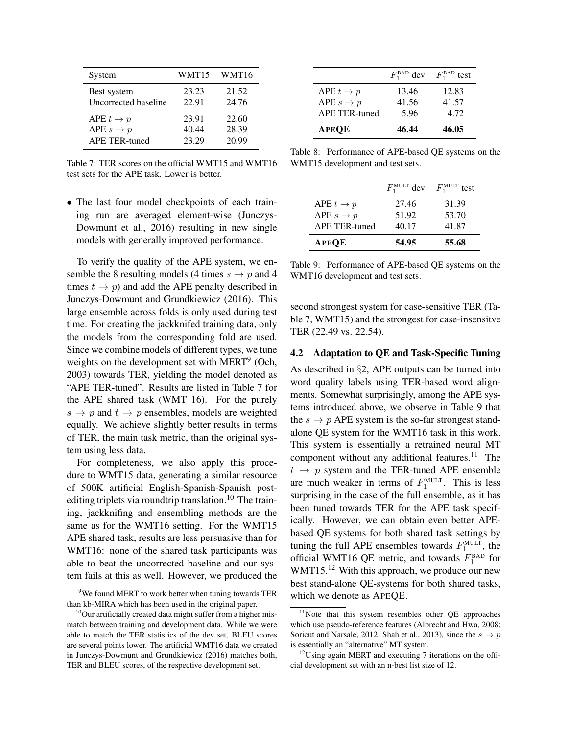| System               | WMT15 | WMT16 |
|----------------------|-------|-------|
| Best system          | 23.23 | 21.52 |
| Uncorrected baseline | 22.91 | 24.76 |
| APE $t \to p$        | 23.91 | 22.60 |
| APE $s \to p$        | 40.44 | 28.39 |
| <b>APE TER-tuned</b> | 23.29 | 20.99 |

Table 7: TER scores on the official WMT15 and WMT16 test sets for the APE task. Lower is better.

• The last four model checkpoints of each training run are averaged element-wise [\(Junczys-](#page-12-19)[Dowmunt et al., 2016\)](#page-12-19) resulting in new single models with generally improved performance.

To verify the quality of the APE system, we ensemble the 8 resulting models (4 times  $s \to p$  and 4 times  $t \to p$ ) and add the APE penalty described in [Junczys-Dowmunt and Grundkiewicz \(2016\)](#page-12-10). This large ensemble across folds is only used during test time. For creating the jackknifed training data, only the models from the corresponding fold are used. Since we combine models of different types, we tune weights on the development set with MERT<sup>[9](#page-7-0)</sup> [\(Och,](#page-12-21) [2003\)](#page-12-21) towards TER, yielding the model denoted as "APE TER-tuned". Results are listed in Table [7](#page-7-1) for the APE shared task (WMT 16). For the purely  $s \rightarrow p$  and  $t \rightarrow p$  ensembles, models are weighted equally. We achieve slightly better results in terms of TER, the main task metric, than the original system using less data.

For completeness, we also apply this procedure to WMT15 data, generating a similar resource of 500K artificial English-Spanish-Spanish post-editing triplets via roundtrip translation.<sup>[10](#page-7-2)</sup> The training, jackknifing and ensembling methods are the same as for the WMT16 setting. For the WMT15 APE shared task, results are less persuasive than for WMT16: none of the shared task participants was able to beat the uncorrected baseline and our system fails at this as well. However, we produced the

|                       | $F_1^{\text{BAD}}$ dev | $F_1^{\text{BAD}}$ test |
|-----------------------|------------------------|-------------------------|
| APE $t \to p$         | 13.46                  | 12.83                   |
| APE $s \rightarrow p$ | 41.56                  | 41.57                   |
| APE TER-tuned         | 5.96                   | 4.72                    |
| <b>APEQE</b>          | 46.44                  | 46.05                   |

<span id="page-7-1"></span>Table 8: Performance of APE-based QE systems on the WMT15 development and test sets.

<span id="page-7-3"></span>

|                       | $F_1^{\text{MULT}}$ dev | $F_1^{\text{MULT}}$ test |
|-----------------------|-------------------------|--------------------------|
| APE $t \to p$         | 27.46                   | 31.39                    |
| APE $s \rightarrow p$ | 51.92                   | 53.70                    |
| APE TER-tuned         | 40.17                   | 41.87                    |
| <b>APEOE</b>          | 54.95                   | 55.68                    |

Table 9: Performance of APE-based QE systems on the WMT16 development and test sets.

second strongest system for case-sensitive TER (Table [7,](#page-7-1) WMT15) and the strongest for case-insensitve TER (22.49 vs. 22.54).

### 4.2 Adaptation to QE and Task-Specific Tuning

As described in §[2,](#page-1-3) APE outputs can be turned into word quality labels using TER-based word alignments. Somewhat surprisingly, among the APE systems introduced above, we observe in Table [9](#page-7-3) that the  $s \to p$  APE system is the so-far strongest standalone QE system for the WMT16 task in this work. This system is essentially a retrained neural MT component without any additional features.<sup>[11](#page-7-4)</sup> The  $t \rightarrow p$  system and the TER-tuned APE ensemble are much weaker in terms of  $F_1^{\text{MULT}}$ . This is less surprising in the case of the full ensemble, as it has been tuned towards TER for the APE task specifically. However, we can obtain even better APEbased QE systems for both shared task settings by tuning the full APE ensembles towards  $F_1^{\text{MULT}}$ , the official WMT16 QE metric, and towards  $F_1^{\text{BAD}}$  for WMT15.<sup>[12](#page-7-5)</sup> With this approach, we produce our new best stand-alone QE-systems for both shared tasks, which we denote as APEQE.

<span id="page-7-0"></span><sup>&</sup>lt;sup>9</sup>We found MERT to work better when tuning towards TER than kb-MIRA which has been used in the original paper.

<span id="page-7-2"></span> $10$ Our artificially created data might suffer from a higher mismatch between training and development data. While we were able to match the TER statistics of the dev set, BLEU scores are several points lower. The artificial WMT16 data we created in [Junczys-Dowmunt and Grundkiewicz \(2016\)](#page-12-10) matches both, TER and BLEU scores, of the respective development set.

<span id="page-7-4"></span> $11$ Note that this system resembles other QE approaches which use pseudo-reference features [\(Albrecht and Hwa, 2008;](#page-11-15) [Soricut and Narsale, 2012;](#page-12-22) [Shah et al., 2013\)](#page-12-5), since the  $s \to p$ is essentially an "alternative" MT system.

<span id="page-7-5"></span> $12$ Using again MERT and executing 7 iterations on the official development set with an n-best list size of 12.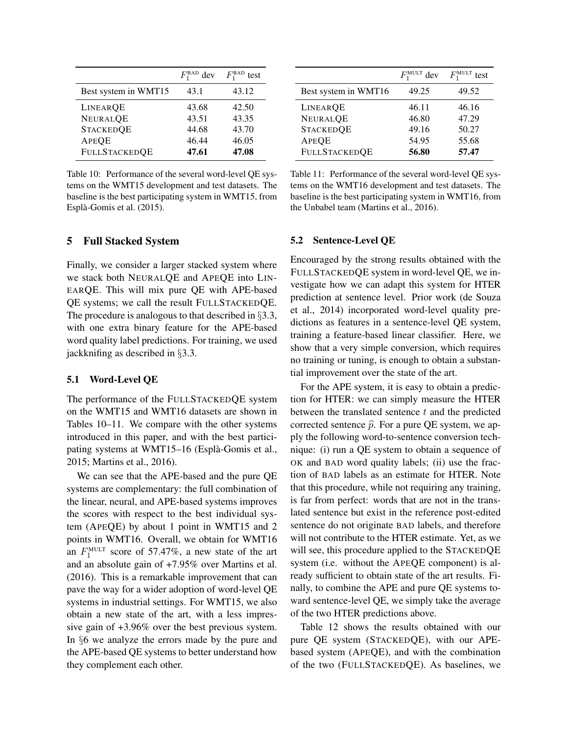|                      | $F_1^{\text{BAD}}$ dev | $F_1^{\text{BAD}}$<br>test |
|----------------------|------------------------|----------------------------|
| Best system in WMT15 | 43.1                   | 43.12                      |
| LINEARQE             | 43.68                  | 42.50                      |
| <b>NEURALQE</b>      | 43.51                  | 43.35                      |
| <b>STACKEDQE</b>     | 44.68                  | 43.70                      |
| <b>APEQE</b>         | 46.44                  | 46.05                      |
| <b>FULLSTACKEDQE</b> | 47.61                  | 47.08                      |

Table 10: Performance of the several word-level QE systems on the WMT15 development and test datasets. The baseline is the best participating system in WMT15, from [Espla-Gomis et al. \(2015\)](#page-11-16). `

### <span id="page-8-0"></span>5 Full Stacked System

Finally, we consider a larger stacked system where we stack both NEURALQE and APEQE into LIN-EARQE. This will mix pure QE with APE-based QE systems; we call the result FULLSTACKEDQE. The procedure is analogous to that described in §[3.3,](#page-5-0) with one extra binary feature for the APE-based word quality label predictions. For training, we used jackknifing as described in §[3.3.](#page-5-0)

#### 5.1 Word-Level QE

The performance of the FULLSTACKEDQE system on the WMT15 and WMT16 datasets are shown in Tables [10–](#page-8-1)[11.](#page-8-2) We compare with the other systems introduced in this paper, and with the best participating systems at WMT15–16 [\(Espla-Gomis et al.,](#page-11-16) ` [2015;](#page-11-16) [Martins et al., 2016\)](#page-12-3).

We can see that the APE-based and the pure QE systems are complementary: the full combination of the linear, neural, and APE-based systems improves the scores with respect to the best individual system (APEQE) by about 1 point in WMT15 and 2 points in WMT16. Overall, we obtain for WMT16 an  $F_1^{\text{MULT}}$  score of 57.47%, a new state of the art and an absolute gain of +7.95% over [Martins et al.](#page-12-3) [\(2016\)](#page-12-3). This is a remarkable improvement that can pave the way for a wider adoption of word-level QE systems in industrial settings. For WMT15, we also obtain a new state of the art, with a less impressive gain of +3.96% over the best previous system. In §[6](#page-9-0) we analyze the errors made by the pure and the APE-based QE systems to better understand how they complement each other.

<span id="page-8-2"></span><span id="page-8-1"></span>

|                      | $F_1^{\text{MULT}}$ dev | $F_1^{\text{MULT}}$<br>test |
|----------------------|-------------------------|-----------------------------|
| Best system in WMT16 | 49.25                   | 49.52                       |
| LINEAROE             | 46.11                   | 46.16                       |
| <b>NEURALQE</b>      | 46.80                   | 47.29                       |
| <b>STACKEDQE</b>     | 49.16                   | 50.27                       |
| <b>APEQE</b>         | 54.95                   | 55.68                       |
| <b>FULLSTACKEDQE</b> | 56.80                   | 57.47                       |

Table 11: Performance of the several word-level QE systems on the WMT16 development and test datasets. The baseline is the best participating system in WMT16, from the Unbabel team (Martins et al., 2016).

### 5.2 Sentence-Level QE

Encouraged by the strong results obtained with the FULLSTACKEDQE system in word-level QE, we investigate how we can adapt this system for HTER prediction at sentence level. Prior work [\(de Souza](#page-11-5) [et al., 2014\)](#page-11-5) incorporated word-level quality predictions as features in a sentence-level QE system, training a feature-based linear classifier. Here, we show that a very simple conversion, which requires no training or tuning, is enough to obtain a substantial improvement over the state of the art.

For the APE system, it is easy to obtain a prediction for HTER: we can simply measure the HTER between the translated sentence  $t$  and the predicted corrected sentence  $\hat{p}$ . For a pure QE system, we apply the following word-to-sentence conversion technique: (i) run a QE system to obtain a sequence of OK and BAD word quality labels; (ii) use the fraction of BAD labels as an estimate for HTER. Note that this procedure, while not requiring any training, is far from perfect: words that are not in the translated sentence but exist in the reference post-edited sentence do not originate BAD labels, and therefore will not contribute to the HTER estimate. Yet, as we will see, this procedure applied to the STACKEDQE system (i.e. without the APEQE component) is already sufficient to obtain state of the art results. Finally, to combine the APE and pure QE systems toward sentence-level QE, we simply take the average of the two HTER predictions above.

Table [12](#page-9-1) shows the results obtained with our pure QE system (STACKEDQE), with our APEbased system (APEQE), and with the combination of the two (FULLSTACKEDQE). As baselines, we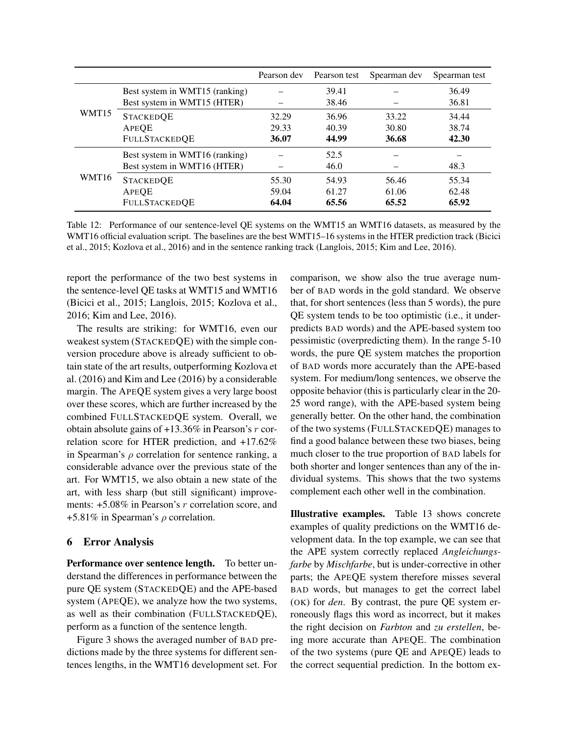|       |                                | Pearson dev | Pearson test | Spearman dev | Spearman test |
|-------|--------------------------------|-------------|--------------|--------------|---------------|
| WMT15 | Best system in WMT15 (ranking) |             | 39.41        |              | 36.49         |
|       | Best system in WMT15 (HTER)    |             | 38.46        |              | 36.81         |
|       | <b>STACKEDQE</b>               | 32.29       | 36.96        | 33.22        | 34.44         |
|       | <b>APEQE</b>                   | 29.33       | 40.39        | 30.80        | 38.74         |
|       | <b>FULLSTACKEDQE</b>           | 36.07       | 44.99        | 36.68        | 42.30         |
| WMT16 | Best system in WMT16 (ranking) |             | 52.5         |              |               |
|       | Best system in WMT16 (HTER)    |             | 46.0         |              | 48.3          |
|       | <b>STACKEDQE</b>               | 55.30       | 54.93        | 56.46        | 55.34         |
|       | APEOE                          | 59.04       | 61.27        | 61.06        | 62.48         |
|       | <b>FULLSTACKEDQE</b>           | 64.04       | 65.56        | 65.52        | 65.92         |

Table 12: Performance of our sentence-level QE systems on the WMT15 an WMT16 datasets, as measured by the WMT16 official evaluation script. The baselines are the best WMT15–16 systems in the HTER prediction track [\(Bicici](#page-11-17) [et al., 2015;](#page-11-17) [Kozlova et al., 2016\)](#page-12-4) and in the sentence ranking track [\(Langlois, 2015;](#page-12-23) [Kim and Lee, 2016\)](#page-12-7).

report the performance of the two best systems in the sentence-level QE tasks at WMT15 and WMT16 [\(Bicici et al., 2015;](#page-11-17) [Langlois, 2015;](#page-12-23) [Kozlova et al.,](#page-12-4) [2016;](#page-12-4) [Kim and Lee, 2016\)](#page-12-7).

The results are striking: for WMT16, even our weakest system (STACKEDQE) with the simple conversion procedure above is already sufficient to obtain state of the art results, outperforming [Kozlova et](#page-12-4) [al. \(2016\)](#page-12-4) and [Kim and Lee \(2016\)](#page-12-7) by a considerable margin. The APEQE system gives a very large boost over these scores, which are further increased by the combined FULLSTACKEDQE system. Overall, we obtain absolute gains of  $+13.36\%$  in Pearson's r correlation score for HTER prediction, and +17.62% in Spearman's  $\rho$  correlation for sentence ranking, a considerable advance over the previous state of the art. For WMT15, we also obtain a new state of the art, with less sharp (but still significant) improvements: +5.08% in Pearson's r correlation score, and +5.81% in Spearman's  $\rho$  correlation.

### <span id="page-9-0"></span>6 Error Analysis

Performance over sentence length. To better understand the differences in performance between the pure QE system (STACKEDQE) and the APE-based system (APEQE), we analyze how the two systems, as well as their combination (FULLSTACKEDQE), perform as a function of the sentence length.

Figure [3](#page-10-0) shows the averaged number of BAD predictions made by the three systems for different sentences lengths, in the WMT16 development set. For <span id="page-9-1"></span>comparison, we show also the true average number of BAD words in the gold standard. We observe that, for short sentences (less than 5 words), the pure QE system tends to be too optimistic (i.e., it underpredicts BAD words) and the APE-based system too pessimistic (overpredicting them). In the range 5-10 words, the pure QE system matches the proportion of BAD words more accurately than the APE-based system. For medium/long sentences, we observe the opposite behavior (this is particularly clear in the 20- 25 word range), with the APE-based system being generally better. On the other hand, the combination of the two systems (FULLSTACKEDQE) manages to find a good balance between these two biases, being much closer to the true proportion of BAD labels for both shorter and longer sentences than any of the individual systems. This shows that the two systems complement each other well in the combination.

Illustrative examples. Table [13](#page-10-1) shows concrete examples of quality predictions on the WMT16 development data. In the top example, we can see that the APE system correctly replaced *Angleichungsfarbe* by *Mischfarbe*, but is under-corrective in other parts; the APEQE system therefore misses several BAD words, but manages to get the correct label (OK) for *den*. By contrast, the pure QE system erroneously flags this word as incorrect, but it makes the right decision on *Farbton* and *zu erstellen*, being more accurate than APEQE. The combination of the two systems (pure QE and APEQE) leads to the correct sequential prediction. In the bottom ex-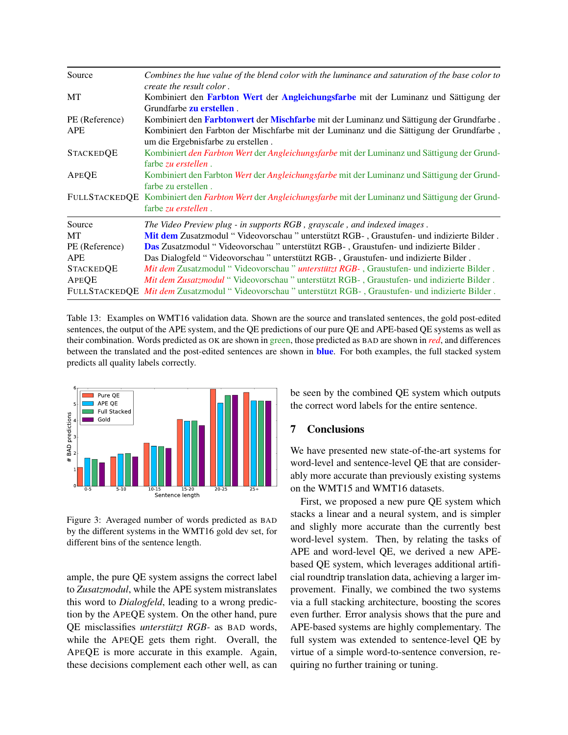| Source               | Combines the hue value of the blend color with the luminance and saturation of the base color to<br>create the result color.     |
|----------------------|----------------------------------------------------------------------------------------------------------------------------------|
| МT                   | Kombiniert den Farbton Wert der Angleichungsfarbe mit der Luminanz und Sättigung der<br>Grundfarbe <b>zu erstellen</b> .         |
| PE (Reference)       | Kombiniert den Farbtonwert der Mischfarbe mit der Luminanz und Sättigung der Grundfarbe.                                         |
| <b>APE</b>           | Kombiniert den Farbton der Mischfarbe mit der Luminanz und die Sättigung der Grundfarbe,<br>um die Ergebnisfarbe zu erstellen.   |
| <b>STACKEDQE</b>     | Kombiniert den Farbton Wert der Angleichungsfarbe mit der Luminanz und Sättigung der Grund-<br>farbe zu erstellen.               |
| APEQE                | Kombiniert den Farbton Wert der Angleichungsfarbe mit der Luminanz und Sättigung der Grund-<br>farbe zu erstellen.               |
|                      | FULLSTACKEDQE Kombiniert den Farbton Wert der Angleichungsfarbe mit der Luminanz und Sättigung der Grund-<br>farbe zu erstellen. |
| Source               | The Video Preview plug - in supports RGB, grayscale, and indexed images.                                                         |
| <b>MT</b>            | Mit dem Zusatzmodul "Videovorschau " unterstützt RGB-, Graustufen- und indizierte Bilder.                                        |
| PE (Reference)       | Das Zusatzmodul "Videovorschau " unterstützt RGB-, Graustufen- und indizierte Bilder.                                            |
| <b>APE</b>           | Das Dialogfeld "Videovorschau" unterstützt RGB-, Graustufen- und indizierte Bilder.                                              |
| <b>STACKEDOE</b>     | <i>Mit dem</i> Zusatzmodul "Videovorschau" <i>unterstützt RGB</i> -, Graustufen- und indizierte Bilder.                          |
| APEQE                | <i>Mit dem Zusatzmodul</i> "Videovorschau " unterstützt RGB-, Graustufen- und indizierte Bilder.                                 |
| <b>FULLSTACKEDOE</b> | Mit dem Zusatzmodul "Videovorschau " unterstützt RGB-, Graustufen- und indizierte Bilder.                                        |

Table 13: Examples on WMT16 validation data. Shown are the source and translated sentences, the gold post-edited sentences, the output of the APE system, and the QE predictions of our pure QE and APE-based QE systems as well as their combination. Words predicted as OK are shown in green, those predicted as BAD are shown in *red*, and differences between the translated and the post-edited sentences are shown in **blue**. For both examples, the full stacked system predicts all quality labels correctly.



<span id="page-10-0"></span>Figure 3: Averaged number of words predicted as BAD by the different systems in the WMT16 gold dev set, for different bins of the sentence length.

ample, the pure QE system assigns the correct label to *Zusatzmodul*, while the APE system mistranslates this word to *Dialogfeld*, leading to a wrong prediction by the APEQE system. On the other hand, pure QE misclassifies *unterstützt RGB*- as BAD words, while the APEQE gets them right. Overall, the APEQE is more accurate in this example. Again, these decisions complement each other well, as can

<span id="page-10-1"></span>be seen by the combined QE system which outputs the correct word labels for the entire sentence.

# 7 Conclusions

We have presented new state-of-the-art systems for word-level and sentence-level QE that are considerably more accurate than previously existing systems on the WMT15 and WMT16 datasets.

First, we proposed a new pure QE system which stacks a linear and a neural system, and is simpler and slighly more accurate than the currently best word-level system. Then, by relating the tasks of APE and word-level QE, we derived a new APEbased QE system, which leverages additional artificial roundtrip translation data, achieving a larger improvement. Finally, we combined the two systems via a full stacking architecture, boosting the scores even further. Error analysis shows that the pure and APE-based systems are highly complementary. The full system was extended to sentence-level QE by virtue of a simple word-to-sentence conversion, requiring no further training or tuning.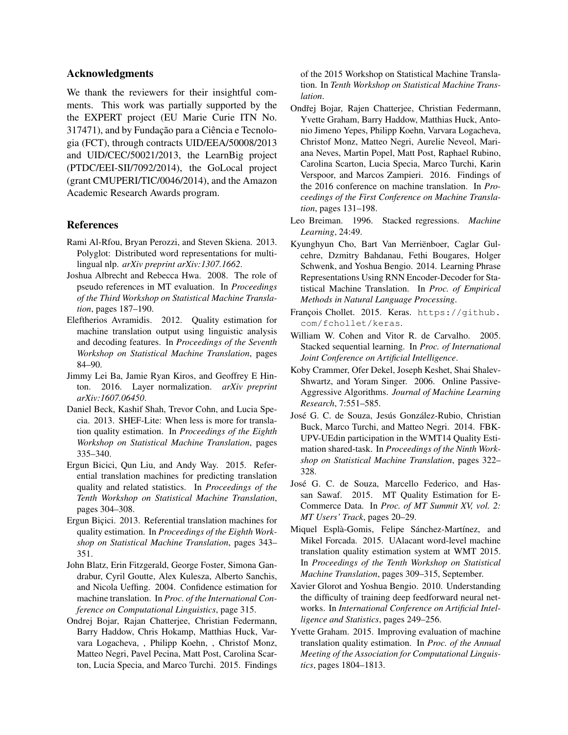### Acknowledgments

We thank the reviewers for their insightful comments. This work was partially supported by the the EXPERT project (EU Marie Curie ITN No. 317471), and by Fundação para a Ciência e Tecnologia (FCT), through contracts UID/EEA/50008/2013 and UID/CEC/50021/2013, the LearnBig project (PTDC/EEI-SII/7092/2014), the GoLocal project (grant CMUPERI/TIC/0046/2014), and the Amazon Academic Research Awards program.

### References

- <span id="page-11-9"></span>Rami Al-Rfou, Bryan Perozzi, and Steven Skiena. 2013. Polyglot: Distributed word representations for multilingual nlp. *arXiv preprint arXiv:1307.1662*.
- <span id="page-11-15"></span>Joshua Albrecht and Rebecca Hwa. 2008. The role of pseudo references in MT evaluation. In *Proceedings of the Third Workshop on Statistical Machine Translation*, pages 187–190.
- <span id="page-11-3"></span>Eleftherios Avramidis. 2012. Quality estimation for machine translation output using linguistic analysis and decoding features. In *Proceedings of the Seventh Workshop on Statistical Machine Translation*, pages 84–90.
- <span id="page-11-12"></span>Jimmy Lei Ba, Jamie Ryan Kiros, and Geoffrey E Hinton. 2016. Layer normalization. *arXiv preprint arXiv:1607.06450*.
- <span id="page-11-4"></span>Daniel Beck, Kashif Shah, Trevor Cohn, and Lucia Specia. 2013. SHEF-Lite: When less is more for translation quality estimation. In *Proceedings of the Eighth Workshop on Statistical Machine Translation*, pages 335–340.
- <span id="page-11-17"></span>Ergun Bicici, Qun Liu, and Andy Way. 2015. Referential translation machines for predicting translation quality and related statistics. In *Proceedings of the Tenth Workshop on Statistical Machine Translation*, pages 304–308.
- <span id="page-11-2"></span>Ergun Biçici. 2013. Referential translation machines for quality estimation. In *Proceedings of the Eighth Workshop on Statistical Machine Translation*, pages 343– 351.
- <span id="page-11-0"></span>John Blatz, Erin Fitzgerald, George Foster, Simona Gandrabur, Cyril Goutte, Alex Kulesza, Alberto Sanchis, and Nicola Ueffing. 2004. Confidence estimation for machine translation. In *Proc. of the International Conference on Computational Linguistics*, page 315.
- Ondrej Bojar, Rajan Chatterjee, Christian Federmann, Barry Haddow, Chris Hokamp, Matthias Huck, Varvara Logacheva, , Philipp Koehn, , Christof Monz, Matteo Negri, Pavel Pecina, Matt Post, Carolina Scarton, Lucia Specia, and Marco Turchi. 2015. Findings

of the 2015 Workshop on Statistical Machine Translation. In *Tenth Workshop on Statistical Machine Translation*.

- Ondřej Bojar, Rajen Chatterjee, Christian Federmann, Yvette Graham, Barry Haddow, Matthias Huck, Antonio Jimeno Yepes, Philipp Koehn, Varvara Logacheva, Christof Monz, Matteo Negri, Aurelie Neveol, Mariana Neves, Martin Popel, Matt Post, Raphael Rubino, Carolina Scarton, Lucia Specia, Marco Turchi, Karin Verspoor, and Marcos Zampieri. 2016. Findings of the 2016 conference on machine translation. In *Proceedings of the First Conference on Machine Translation*, pages 131–198.
- <span id="page-11-13"></span>Leo Breiman. 1996. Stacked regressions. *Machine Learning*, 24:49.
- <span id="page-11-11"></span>Kyunghyun Cho, Bart Van Merriënboer, Caglar Gulcehre, Dzmitry Bahdanau, Fethi Bougares, Holger Schwenk, and Yoshua Bengio. 2014. Learning Phrase Representations Using RNN Encoder-Decoder for Statistical Machine Translation. In *Proc. of Empirical Methods in Natural Language Processing*.
- <span id="page-11-8"></span>François Chollet. 2015. Keras. [https://github.](https://github.com/fchollet/keras) [com/fchollet/keras](https://github.com/fchollet/keras).
- <span id="page-11-14"></span>William W. Cohen and Vitor R. de Carvalho. 2005. Stacked sequential learning. In *Proc. of International Joint Conference on Artificial Intelligence*.
- <span id="page-11-7"></span>Koby Crammer, Ofer Dekel, Joseph Keshet, Shai Shalev-Shwartz, and Yoram Singer. 2006. Online Passive-Aggressive Algorithms. *Journal of Machine Learning Research*, 7:551–585.
- <span id="page-11-5"></span>José G. C. de Souza, Jesús González-Rubio, Christian Buck, Marco Turchi, and Matteo Negri. 2014. FBK-UPV-UEdin participation in the WMT14 Quality Estimation shared-task. In *Proceedings of the Ninth Workshop on Statistical Machine Translation*, pages 322– 328.
- <span id="page-11-1"></span>Jose G. C. de Souza, Marcello Federico, and Has- ´ san Sawaf. 2015. MT Quality Estimation for E-Commerce Data. In *Proc. of MT Summit XV, vol. 2: MT Users' Track*, pages 20–29.
- <span id="page-11-16"></span>Miquel Esplà-Gomis, Felipe Sánchez-Martínez, and Mikel Forcada. 2015. UAlacant word-level machine translation quality estimation system at WMT 2015. In *Proceedings of the Tenth Workshop on Statistical Machine Translation*, pages 309–315, September.
- <span id="page-11-10"></span>Xavier Glorot and Yoshua Bengio. 2010. Understanding the difficulty of training deep feedforward neural networks. In *International Conference on Artificial Intelligence and Statistics*, pages 249–256.
- <span id="page-11-6"></span>Yvette Graham. 2015. Improving evaluation of machine translation quality estimation. In *Proc. of the Annual Meeting of the Association for Computational Linguistics*, pages 1804–1813.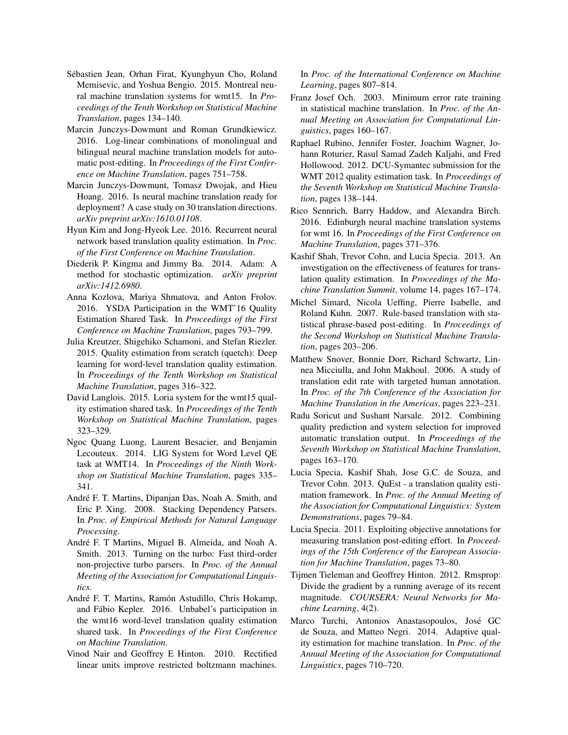- <span id="page-12-17"></span>Sebastien Jean, Orhan Firat, Kyunghyun Cho, Roland ´ Memisevic, and Yoshua Bengio. 2015. Montreal neural machine translation systems for wmt15. In *Proceedings of the Tenth Workshop on Statistical Machine Translation*, pages 134–140.
- <span id="page-12-10"></span>Marcin Junczys-Dowmunt and Roman Grundkiewicz. 2016. Log-linear combinations of monolingual and bilingual neural machine translation models for automatic post-editing. In *Proceedings of the First Conference on Machine Translation*, pages 751–758.
- <span id="page-12-19"></span>Marcin Junczys-Dowmunt, Tomasz Dwojak, and Hieu Hoang. 2016. Is neural machine translation ready for deployment? A case study on 30 translation directions. *arXiv preprint arXiv:1610.01108*.
- <span id="page-12-7"></span>Hyun Kim and Jong-Hyeok Lee. 2016. Recurrent neural network based translation quality estimation. In *Proc. of the First Conference on Machine Translation*.
- <span id="page-12-20"></span>Diederik P. Kingma and Jimmy Ba. 2014. Adam: A method for stochastic optimization. *arXiv preprint arXiv:1412.6980*.
- <span id="page-12-4"></span>Anna Kozlova, Mariya Shmatova, and Anton Frolov. 2016. YSDA Participation in the WMT'16 Quality Estimation Shared Task. In *Proceedings of the First Conference on Machine Translation*, pages 793–799.
- <span id="page-12-8"></span>Julia Kreutzer, Shigehiko Schamoni, and Stefan Riezler. 2015. Quality estimation from scratch (quetch): Deep learning for word-level translation quality estimation. In *Proceedings of the Tenth Workshop on Statistical Machine Translation*, pages 316–322.
- <span id="page-12-23"></span>David Langlois. 2015. Loria system for the wmt15 quality estimation shared task. In *Proceedings of the Tenth Workshop on Statistical Machine Translation*, pages 323–329.
- <span id="page-12-6"></span>Ngoc Quang Luong, Laurent Besacier, and Benjamin Lecouteux. 2014. LIG System for Word Level QE task at WMT14. In *Proceedings of the Ninth Workshop on Statistical Machine Translation*, pages 335– 341.
- <span id="page-12-16"></span>André F. T. Martins, Dipanjan Das, Noah A. Smith, and Eric P. Xing. 2008. Stacking Dependency Parsers. In *Proc. of Empirical Methods for Natural Language Processing*.
- <span id="page-12-12"></span>André F. T Martins, Miguel B. Almeida, and Noah A. Smith. 2013. Turning on the turbo: Fast third-order non-projective turbo parsers. In *Proc. of the Annual Meeting of the Association for Computational Linguistics*.
- <span id="page-12-3"></span>André F. T. Martins, Ramón Astudillo, Chris Hokamp, and Fabio Kepler. 2016. Unbabel's participation in ´ the wmt16 word-level translation quality estimation shared task. In *Proceedings of the First Conference on Machine Translation*.
- <span id="page-12-14"></span>Vinod Nair and Geoffrey E Hinton. 2010. Rectified linear units improve restricted boltzmann machines.

In *Proc. of the International Conference on Machine Learning*, pages 807–814.

- <span id="page-12-21"></span>Franz Josef Och. 2003. Minimum error rate training in statistical machine translation. In *Proc. of the Annual Meeting on Association for Computational Linguistics*, pages 160–167.
- <span id="page-12-13"></span>Raphael Rubino, Jennifer Foster, Joachim Wagner, Johann Roturier, Rasul Samad Zadeh Kaljahi, and Fred Hollowood. 2012. DCU-Symantec submission for the WMT 2012 quality estimation task. In *Proceedings of the Seventh Workshop on Statistical Machine Translation*, pages 138–144.
- <span id="page-12-18"></span>Rico Sennrich, Barry Haddow, and Alexandra Birch. 2016. Edinburgh neural machine translation systems for wmt 16. In *Proceedings of the First Conference on Machine Translation*, pages 371–376.
- <span id="page-12-5"></span>Kashif Shah, Trevor Cohn, and Lucia Specia. 2013. An investigation on the effectiveness of features for translation quality estimation. In *Proceedings of the Machine Translation Summit*, volume 14, pages 167–174.
- <span id="page-12-9"></span>Michel Simard, Nicola Ueffing, Pierre Isabelle, and Roland Kuhn. 2007. Rule-based translation with statistical phrase-based post-editing. In *Proceedings of the Second Workshop on Statistical Machine Translation*, pages 203–206.
- <span id="page-12-11"></span>Matthew Snover, Bonnie Dorr, Richard Schwartz, Linnea Micciulla, and John Makhoul. 2006. A study of translation edit rate with targeted human annotation. In *Proc. of the 7th Conference of the Association for Machine Translation in the Americas*, pages 223–231.
- <span id="page-12-22"></span>Radu Soricut and Sushant Narsale. 2012. Combining quality prediction and system selection for improved automatic translation output. In *Proceedings of the Seventh Workshop on Statistical Machine Translation*, pages 163–170.
- <span id="page-12-0"></span>Lucia Specia, Kashif Shah, Jose G.C. de Souza, and Trevor Cohn. 2013. QuEst - a translation quality estimation framework. In *Proc. of the Annual Meeting of the Association for Computational Linguistics: System Demonstrations*, pages 79–84.
- <span id="page-12-1"></span>Lucia Specia. 2011. Exploiting objective annotations for measuring translation post-editing effort. In *Proceedings of the 15th Conference of the European Association for Machine Translation*, pages 73–80.
- <span id="page-12-15"></span>Tijmen Tieleman and Geoffrey Hinton. 2012. Rmsprop: Divide the gradient by a running average of its recent magnitude. *COURSERA: Neural Networks for Machine Learning*, 4(2).
- <span id="page-12-2"></span>Marco Turchi, Antonios Anastasopoulos, Jose GC ´ de Souza, and Matteo Negri. 2014. Adaptive quality estimation for machine translation. In *Proc. of the Annual Meeting of the Association for Computational Linguistics*, pages 710–720.